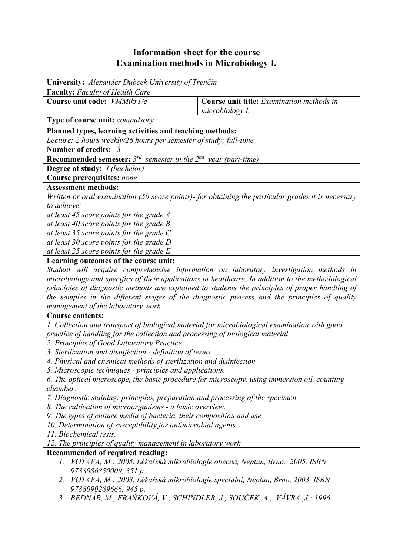## **Information sheet for the course Examination methods in Microbiology I.**

| University: Alexander Dubček University of Trenčín                                                                                          |  |  |  |  |  |  |  |
|---------------------------------------------------------------------------------------------------------------------------------------------|--|--|--|--|--|--|--|
| <b>Faculty:</b> Faculty of Health Care                                                                                                      |  |  |  |  |  |  |  |
| Course unit code: <i>VMMikr1/e</i><br>Course unit title: Examination methods in<br>microbiology I.                                          |  |  |  |  |  |  |  |
| <b>Type of course unit:</b> <i>compulsory</i>                                                                                               |  |  |  |  |  |  |  |
| Planned types, learning activities and teaching methods:                                                                                    |  |  |  |  |  |  |  |
| Lecture: 2 hours weekly/26 hours per semester of study; full-time                                                                           |  |  |  |  |  |  |  |
| Number of credits: 3                                                                                                                        |  |  |  |  |  |  |  |
| <b>Recommended semester:</b> $3^{rd}$ semester in the $2^{nd}$ year (part-time)                                                             |  |  |  |  |  |  |  |
| <b>Degree of study:</b> <i>I (bachelor)</i>                                                                                                 |  |  |  |  |  |  |  |
| Course prerequisites: none                                                                                                                  |  |  |  |  |  |  |  |
| <b>Assessment methods:</b>                                                                                                                  |  |  |  |  |  |  |  |
| Written or oral examination (50 score points)- for obtaining the particular grades it is necessary                                          |  |  |  |  |  |  |  |
| to achieve:                                                                                                                                 |  |  |  |  |  |  |  |
| at least 45 score points for the grade A                                                                                                    |  |  |  |  |  |  |  |
| at least 40 score points for the grade $B$<br>at least 35 score points for the grade C                                                      |  |  |  |  |  |  |  |
| at least 30 score points for the grade D                                                                                                    |  |  |  |  |  |  |  |
| at least 25 score points for the grade $E$                                                                                                  |  |  |  |  |  |  |  |
| Learning outcomes of the course unit:                                                                                                       |  |  |  |  |  |  |  |
| Student will acquire comprehensive information on laboratory investigation methods in                                                       |  |  |  |  |  |  |  |
| microbiology and specifics of their applications in healthcare. In addition to the methodological                                           |  |  |  |  |  |  |  |
| principles of diagnostic methods are explained to students the principles of proper handling of                                             |  |  |  |  |  |  |  |
| the samples in the different stages of the diagnostic process and the principles of quality                                                 |  |  |  |  |  |  |  |
| management of the laboratory work.                                                                                                          |  |  |  |  |  |  |  |
| <b>Course contents:</b>                                                                                                                     |  |  |  |  |  |  |  |
| 1. Collection and transport of biological material for microbiological examination with good                                                |  |  |  |  |  |  |  |
| practice of handling for the collection and processing of biological material                                                               |  |  |  |  |  |  |  |
| 2. Principles of Good Laboratory Practice                                                                                                   |  |  |  |  |  |  |  |
| 3. Sterilization and disinfection - definition of terms                                                                                     |  |  |  |  |  |  |  |
| 4. Physical and chemical methods of sterilization and disinfection                                                                          |  |  |  |  |  |  |  |
| 5. Microscopic techniques - principles and applications.                                                                                    |  |  |  |  |  |  |  |
| 6. The optical microscope, the basic procedure for microscopy, using immersion oil, counting                                                |  |  |  |  |  |  |  |
| chamber.                                                                                                                                    |  |  |  |  |  |  |  |
| 7. Diagnostic staining: principles, preparation and processing of the specimen.<br>8. The cultivation of microorganisms - a basic overview. |  |  |  |  |  |  |  |
| 9. The types of culture media of bacteria, their composition and use.                                                                       |  |  |  |  |  |  |  |
| 10. Determination of susceptibility for antimicrobial agents.                                                                               |  |  |  |  |  |  |  |
| 11. Biochemical tests.                                                                                                                      |  |  |  |  |  |  |  |
| 12. The principles of quality management in laboratory work                                                                                 |  |  |  |  |  |  |  |
| Recommended of required reading:                                                                                                            |  |  |  |  |  |  |  |
| 1. VOTAVA, M.: 2005. Lékařská mikrobiologie obecná, Neptun, Brno, 2005, ISBN                                                                |  |  |  |  |  |  |  |
| 9788086850009, 351 p.                                                                                                                       |  |  |  |  |  |  |  |
| VOTAVA, M.: 2003. Lékařská mikrobiologie speciální, Neptun, Brno, 2003, ISBN<br>2.                                                          |  |  |  |  |  |  |  |
| 9788090289666, 945 p.<br>BEDNÁŘ, M., FRAŇKOVÁ, V., SCHINDLER, J., SOUČEK, A., VÁVRA ,J.: 1996.<br>3.                                        |  |  |  |  |  |  |  |
|                                                                                                                                             |  |  |  |  |  |  |  |